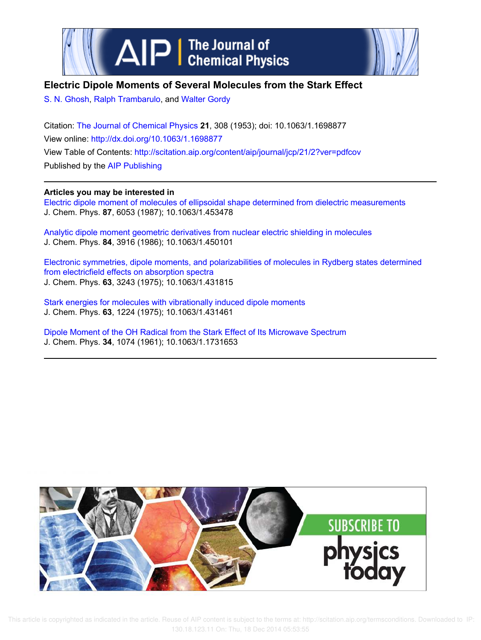



# **Electric Dipole Moments of Several Molecules from the Stark Effect**

S. N. Ghosh, Ralph Trambarulo, and Walter Gordy

Citation: The Journal of Chemical Physics **21**, 308 (1953); doi: 10.1063/1.1698877 View online: http://dx.doi.org/10.1063/1.1698877 View Table of Contents: http://scitation.aip.org/content/aip/journal/jcp/21/2?ver=pdfcov Published by the AIP Publishing

## **Articles you may be interested in**

Electric dipole moment of molecules of ellipsoidal shape determined from dielectric measurements J. Chem. Phys. **87**, 6053 (1987); 10.1063/1.453478

Analytic dipole moment geometric derivatives from nuclear electric shielding in molecules J. Chem. Phys. **84**, 3916 (1986); 10.1063/1.450101

Electronic symmetries, dipole moments, and polarizabilities of molecules in Rydberg states determined from electricfield effects on absorption spectra J. Chem. Phys. **63**, 3243 (1975); 10.1063/1.431815

Stark energies for molecules with vibrationally induced dipole moments J. Chem. Phys. **63**, 1224 (1975); 10.1063/1.431461

Dipole Moment of the OH Radical from the Stark Effect of Its Microwave Spectrum J. Chem. Phys. **34**, 1074 (1961); 10.1063/1.1731653



 This article is copyrighted as indicated in the article. Reuse of AIP content is subject to the terms at: http://scitation.aip.org/termsconditions. Downloaded to IP: 130.18.123.11 On: Thu, 18 Dec 2014 05:53:55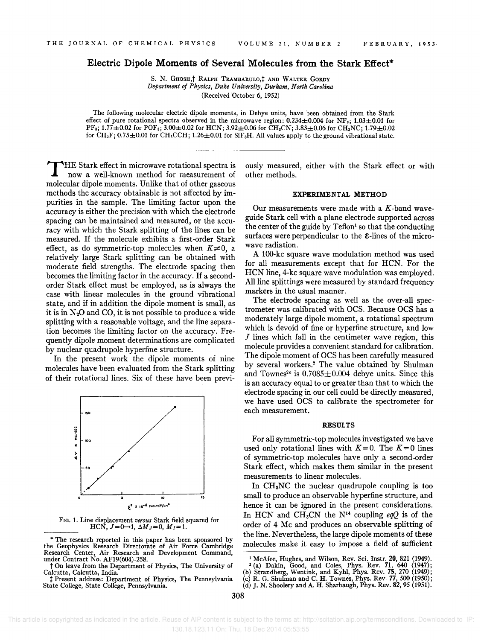## **Electric Dipole Moments of Several Molecules from the Stark Effect\***

S. N. GHOSH,<sup>†</sup> RALPH TRAMBARULO,<sup>†</sup> AND WALTER GORDY *Department of Physics, Duke University, Durham, North Carolina*  (Received October 6, 1952)

The following molecular electric dipole moments, in Debye units, have been obtained from the Stark effect of pure rotational spectra observed in the microwave region:  $0.234 \pm 0.004$  for NF<sub>3</sub>;  $1.03 \pm 0.01$  for  $PF_3$ ; 1.77 $\pm$ 0.02 for POF<sub>3</sub>; 3.00 $\pm$ 0.02 for HCN; 3.92 $\pm$ 0.06 for CH<sub>3</sub>CN; 3.83 $\pm$ 0.06 for CH<sub>3</sub>NC; 1.79 $\pm$ 0.02 for  $CH_3F$ ; 0.75 $\pm$ 0.01 for  $CH_3CCH$ ; 1.26 $\pm$ 0.01 for Si $F_3H$ . All values apply to the ground vibrational state.

T HE Stark effect in microwave rotational spectra is now a well-known method for measurement of molecular dipole moments. Unlike that of other gaseous methods the accuracy obtainable is not affected by impurities in the sample. The limiting factor upon the accuracy is either the precision with which the electrode spacing can be maintained and measured, or the accuracy with which the Stark splitting of the lines can be measured. If the molecule exhibits a first-order Stark effect, as do symmetric-top molecules when  $K\neq0$ , a relatively large Stark splitting can be obtained with moderate field strengths. The electrode spacing then becomes the limiting factor in the accuracy. If a secondorder Stark effect must be employed, as is always the case with linear molecules in the ground vibrational state, and if in addition the dipole moment is small, as it is in  $N_2O$  and CO, it is not possible to produce a wide splitting with a reasonable voltage, and the line separation becomes the limiting factor on the accuracy. Frequently dipole moment determinations are complicated by nuclear quadrupole hyperfine structure.

In the present work the dipole moments of nine molecules have been evaluated from the Stark splitting of their rotational lines. Six of these have been previ-



FIG. 1. Line displacement *versus* Stark field squared for HCN,  $J=0\rightarrow 1$ ,  $\Delta M_J=0$ ,  $M_I=1$ .

\* The research reported in this paper has been sponsored by the Geophysics Research Directorate of Air Force Cambridge Research Center, Air Research and Development Command, under Contract No. AF19(604)-258.

t On leave from the Department of Physics, The University of Calcutta, Calcutta, India.

t Present address: Department of Physics, The Pennsylvania State College, State College, Pennsylvania.

ously measured, either with the Stark effect or with other methods.

### EXPERIMENTAL METHOD

Our measurements were made with a  $K$ -band waveguide Stark cell with a plane electrode supported across the center of the guide by  $Teflon<sup>1</sup>$  so that the conducting surfaces were perpendicular to the E-lines of the microwave radiation.

A 100-kc square wave modulation method was used for all measurements except that for HCN. For the HCN line, 4-kc square wave modulation was employed. All line splittings were measured by standard frequency markers in the usual manner.

The electrode spacing as well as the over-all spectrometer was calibrated with OCS. Because OCS has a moderately large dipole moment, a rotational spectrum which is devoid of fine or hyperfine structure, and low  $J$  lines which fall in the centimeter wave region, this molecule provides a convenient standard for calibration. The dipole moment of OCS has been carefully measured by several workers.2 The value obtained by Shulman and Townes<sup>2c</sup> is  $0.7085 \pm 0.004$  debye units. Since this is an accuracy equal to or greater than that to which the electrode spacing in our cell could be directly measured, we have used OCS to calibrate the spectrometer for each measurement.

### RESULTS

For all symmetric-top molecules investigated we have used only rotational lines with  $K = 0$ . The  $K = 0$  lines of symmetric-top molecules have only a second-order Stark effect, which makes them similar in the present measurements to linear molecules.

In CHaNC the nuclear quadrupole coupling is too small to produce an observable hyperfine structure, and hence it can be ignored in the present considerations. In HCN and  $CH_3CN$  the N<sup>14</sup> coupling *eqQ* is of the order of 4 Mc and produces an observable splitting of the line. Nevertheless, the large dipole moments of these molecules make it easy to impose a field of sufficient

<sup>&</sup>lt;sup>1</sup> McAfee, Hughes, and Wilson, Rev. Sci. Instr. 20, 821 (1949).<br>
<sup>2</sup> (a) Dakin, Good, and Coles, Phys. Rev. 71, 640 (1947);<br>
(b) Strandberg, Wentink, and Kyhl, Phys. Rev. 75, 270 (1949);

<sup>(</sup>c) R. G. Shulman and C. H. Townes, Phys. Rev. 77, 500 (1950); (d) J. N. Shoolery and A. H. Sharbaugh, Phys. Rev. 82, 95 (1951).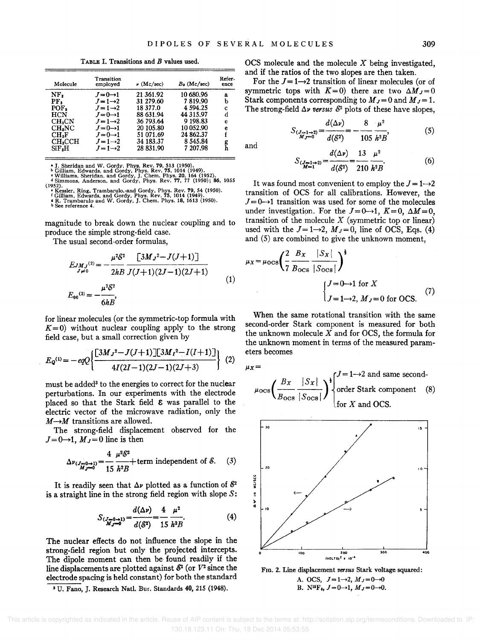TABLE I. Transitions and B values used.

| Molecule           | Transition<br>employed | $\nu$ (Mc/sec) | $B_0$ (Mc/sec) | Refer-<br>ence |
|--------------------|------------------------|----------------|----------------|----------------|
| NF,                | $J=0\rightarrow 1$     | 21 361.92      | 10 680.96      | a              |
| PF,                | $J=1\rightarrow 2$     | 31 279.60      | 7819.90        | b              |
| POF.               | $J=1\rightarrow 2$     | 18 377.0       | 4 5 9 4 . 2 5  | c              |
| HCN                | $J=0\rightarrow 1$     | 88 631.94      | 44 315.97      | d              |
| CH <sub>s</sub> CN | $J=1\rightarrow 2$     | 36 793.64      | 9 198.83       | e              |
| CH.NC              | $J=0\rightarrow 1$     | 20 105.80      | 10 052.90      | e              |
| $\rm CH.F$         | $J=0\rightarrow 1$     | 51 071.69      | 24 862.37      | f              |
| CH <sub>n</sub> CH | $J=1\rightarrow 2$     | 34 183.37      | 8 545 84       |                |
| SiF,H              | $J=1\rightarrow 2$     | 28 831.90      | 7 207.98       | g<br>h         |
|                    |                        |                |                |                |

• J. Sheridan and W. Gordy, Phys. Rev. 79, 513 (1950).<br>• Gilliam, Edwards, and Gordy, Phys. Rev. 75, 1014 (1949).<br>• Williams, Sheridan, and Gordy, J. Chem. Phys. 20, 164 (1952).<br>• Simmons, Anderson, and Gordy, Phys. Rev. 7 (1952). • Kessler, Ring, Trambarulo,·and Gordy, Phys. Rev. 79, 54 (1950). <sup>f</sup>Gilliam, Edwards, and Gordy, Phys. Rev. 75, 1014 (1949). • R. Trambarulo and W. Gordy, J. Chern. Phys. 18, 1613 (1950).

**b** See reference 4.

magnitude to break down the nuclear coupling and to produce the simple strong-field case.

The usual second-order formulas,

$$
E_{JMJ}^{(2)} = -\frac{\mu^2 \mathcal{E}^2}{2hB} \frac{[3MJ^2 - J(J+1)]}{J(J+1)(2J-1)(2J+1)}
$$
  

$$
E_{00}^{(2)} = -\frac{\mu^2 \mathcal{E}^2}{6hB},
$$
 (1)

for linear molecules (or the symmetric-top formula with  $K=0$ ) without nuclear coupling apply to the strong field case, but a small correction given by

$$
E_{\mathbf{Q}}^{(1)} = -eqQ \left\{ \frac{\left[3M_J{}^2 - J(J+1)\right] \left[3M_I{}^2 - I(J+1)\right]}{4I(2I-1)(2J-1)(2J+3)} \right\} (2)
$$

must be added<sup>3</sup> to the energies to correct for the nuclear perturbations. In our experiments with the electrode placed so that the Stark field *e* was parallel to the electric vector of the microwave radiation, only the  $M \rightarrow M$  transitions are allowed.

The strong-field displacement observed for the  $J=0\rightarrow 1$ ,  $M_J=0$  line is then

$$
\Delta\nu_{(J=0\to 1)} = \frac{4}{15} \frac{\mu^2 \delta^2}{h^2 B} + \text{term independent of } \delta. \quad (3)
$$

It is readily seen that  $\Delta \nu$  plotted as a function of  $\delta^2$ is a straight line in the strong field region with slope S:

$$
S_{(\mathcal{J}=0\to 1)} = \frac{d(\Delta \nu)}{d(\mathcal{S}^2)} = \frac{4}{15} \frac{\mu^2}{h^2 B}.
$$
 (4)

The nuclear effects do not influence the slope in the strong-field region but only the projected intercepts. The dipole moment can then be found readily if the line displacements are plotted against  $\mathcal{E}^2$  (or  $V^2$  since the electrode spacing is held constant) for both the standard

<sup>3</sup> U. Fano, J. Research Natl. Bur. Standards 40, 215 (1948).

OCS molecule and the molecule *X* being investigated and if the ratios of the two slopes are then taken. '

For the  $J=1\rightarrow 2$  transition of linear molecules (or of symmetric tops with  $K = 0$ ) there are two  $\Delta M_J = 0$ Stark components corresponding to  $M_J=0$  and  $M_J=1$ . The strong-field  $\Delta \nu$  versus  $\mathcal{E}^2$  plots of these have slopes,

$$
S_{\substack{(J=1\to 2) \\ M_J=0}} = \frac{d(\Delta \nu)}{d(\mathcal{E}^2)} = -\frac{8}{105} \frac{\mu^2}{h^2 B},\tag{5}
$$

and

$$
S_{\frac{J-1\to 2}{M-1}} = \frac{a(\Delta \nu)}{d(\mathcal{S}^2)} = \frac{13}{210} \frac{\mu^2}{h^2 B}.
$$
 (6)

It was found most convenient to employ the  $J = 1 \rightarrow 2$ transition of OCS for all calibrations. However, the  $J=0\rightarrow 1$  transition was used for some of the molecules under investigation. For the  $J=0\rightarrow 1$ ,  $K=0$ ,  $\Delta M=0$ , transition of the molecule  $X$  (symmetric top or linear) used with the  $J=1\rightarrow 2$ ,  $M_J=0$ , line of OCS, Eqs. (4) and (5) are combined to give the unknown moment,

$$
\mu_X = \mu_{\text{OCS}} \left( \frac{2}{7} \frac{B_X}{B_{\text{OCS}}} \frac{|S_X|}{|S_{\text{OCS}}|} \right)^{\frac{1}{3}}
$$

$$
\begin{cases} J = 0 \to 1 \text{ for } X \\ J = 1 \to 2, M_J = 0 \text{ for OCS.} \end{cases} (7)
$$

When the same rotational transition with the same second-order Stark component is measured for both the unknown molecule *X* and for OCS, the formula for the unknown moment in terms of the measured parameters becomes

$$
\mu_X =
$$

$$
\mu_{\text{OCS}} \left( \frac{B_X}{B_{\text{OCS}}} \frac{|S_X|}{|S_{\text{OCS}}|} \right)^{\frac{1}{2}} \begin{cases} J = 1 \rightarrow 2 \text{ and same second-} \\ \text{order Stark component} \\ \text{for } X \text{ and OCS.} \end{cases} (8)
$$



FIG. 2. Line displacement *versus* Stark voltage squared: A. OCS,  $J=1\rightarrow 2$ ,  $M_J=0\rightarrow 0$ B. N<sup>15</sup>F<sub>3</sub>,  $J=0\rightarrow 1$ ,  $M_J=0\rightarrow 0$ .